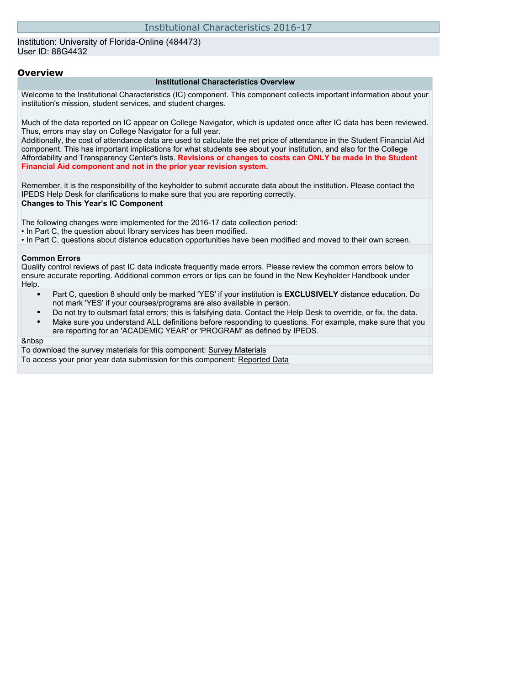#### Institution: University of Florida-Online (484473) User ID: 88G4432

#### **Overview**

#### **Institutional Characteristics Overview**

Welcome to the Institutional Characteristics (IC) component. This component collects important information about your institution's mission, student services, and student charges.

Much of the data reported on IC appear on College Navigator, which is updated once after IC data has been reviewed. Thus, errors may stay on College Navigator for a full year.

Additionally, the cost of attendance data are used to calculate the net price of attendance in the Student Financial Aid component. This has important implications for what students see about your institution, and also for the College Affordability and Transparency Center's lists. **Revisions or changes to costs can ONLY be made in the Student Financial Aid component and not in the prior year revision system.**

Remember, it is the responsibility of the keyholder to submit accurate data about the institution. Please contact the IPEDS Help Desk for clarifications to make sure that you are reporting correctly. **Changes to This Year's IC Component**

The following changes were implemented for the 2016-17 data collection period:

• In Part C, the question about library services has been modified.

• In Part C, questions about distance education opportunities have been modified and moved to their own screen.

#### **Common Errors**

Quality control reviews of past IC data indicate frequently made errors. Please review the common errors below to ensure accurate reporting. Additional common errors or tips can be found in the New Keyholder Handbook under Help.

- Part C, question 8 should only be marked 'YES' if your institution is **EXCLUSIVELY** distance education. Do not mark 'YES' if your courses/programs are also available in person.
- Do not try to outsmart fatal errors; this is falsifying data. Contact the Help Desk to override, or fix, the data.
- Make sure you understand ALL definitions before responding to questions. For example, make sure that you are reporting for an 'ACADEMIC YEAR' or 'PROGRAM' as defined by IPEDS.

#### &nbsp

To download the survey materials for this component: [Survey Materials](https://surveys.nces.ed.gov/ipeds/VisIndex.aspx) To access your prior year data submission for this component: [Reported Data](http://192.168.102.89/IPEDS/PriorYearDataRedirect.aspx?survey_id=11)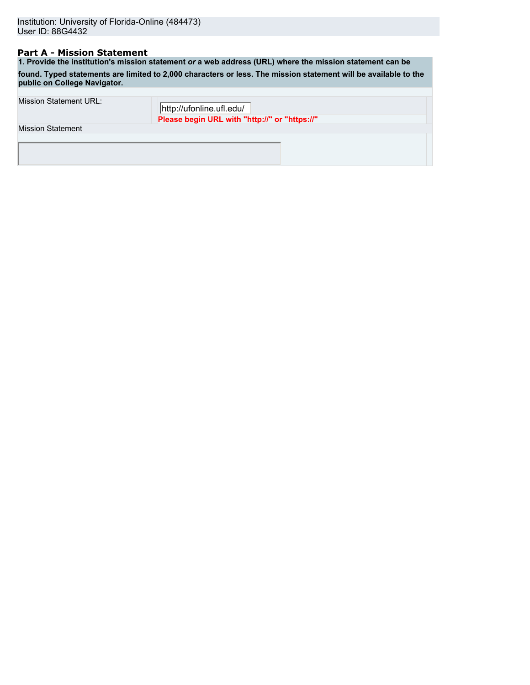## **Part A - Mission Statement**

**1. Provide the institution's mission statement** *or* **a web address (URL) where the mission statement can be found. Typed statements are limited to 2,000 characters or less. The mission statement will be available to the public on College Navigator.**

| Mission Statement URL:   | http://ufonline.ufl.edu/                      |  |
|--------------------------|-----------------------------------------------|--|
| <b>Mission Statement</b> | Please begin URL with "http://" or "https://" |  |
|                          |                                               |  |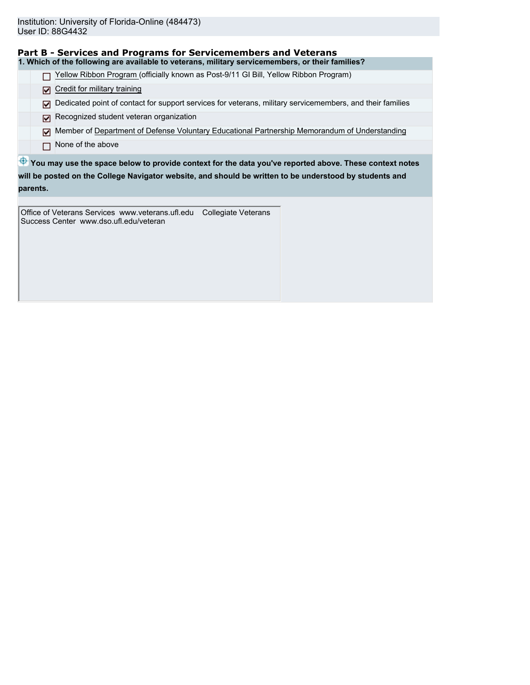| Part B - Services and Programs for Servicemembers and Veterans                                                         |
|------------------------------------------------------------------------------------------------------------------------|
| 1. Which of the following are available to veterans, military servicemembers, or their families?                       |
| Yellow Ribbon Program (officially known as Post-9/11 GI Bill, Yellow Ribbon Program)                                   |
| Credit for military training<br>⊡                                                                                      |
| Dedicated point of contact for support services for veterans, military servicemembers, and their families<br>⊡         |
| Recognized student veteran organization<br>⊓                                                                           |
| Member of Department of Defense Voluntary Educational Partnership Memorandum of Understanding<br>М                     |
| None of the above                                                                                                      |
| $\mathbf{\Phi}$ You may use the space below to provide context for the data you've reported above. These context notes |
| will be posted on the College Navigator website, and should be written to be understood by students and                |

**parents.**

Office of Veterans Services www.veterans.ufl.edu Collegiate Veterans Success Center www.dso.ufl.edu/veteran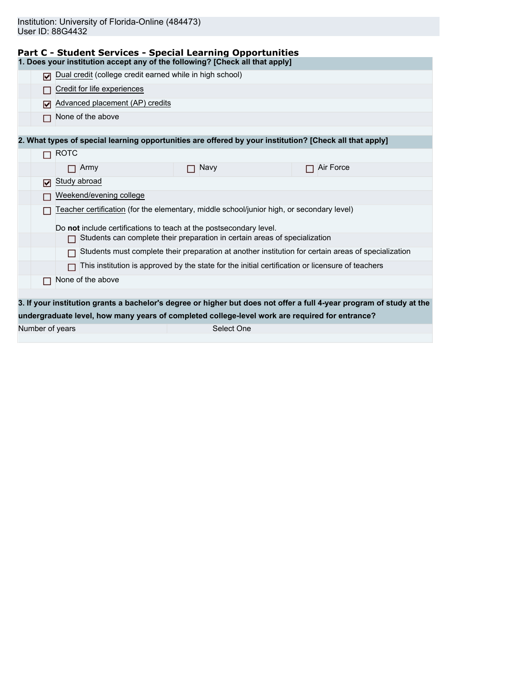| Study abroad                                                                                                         |  |  |  |  |  |
|----------------------------------------------------------------------------------------------------------------------|--|--|--|--|--|
| Weekend/evening college                                                                                              |  |  |  |  |  |
| Teacher certification (for the elementary, middle school/junior high, or secondary level)                            |  |  |  |  |  |
|                                                                                                                      |  |  |  |  |  |
|                                                                                                                      |  |  |  |  |  |
| Students must complete their preparation at another institution for certain areas of specialization                  |  |  |  |  |  |
| This institution is approved by the state for the initial certification or licensure of teachers                     |  |  |  |  |  |
|                                                                                                                      |  |  |  |  |  |
|                                                                                                                      |  |  |  |  |  |
| 3. If your institution grants a bachelor's degree or higher but does not offer a full 4-year program of study at the |  |  |  |  |  |
|                                                                                                                      |  |  |  |  |  |
|                                                                                                                      |  |  |  |  |  |
|                                                                                                                      |  |  |  |  |  |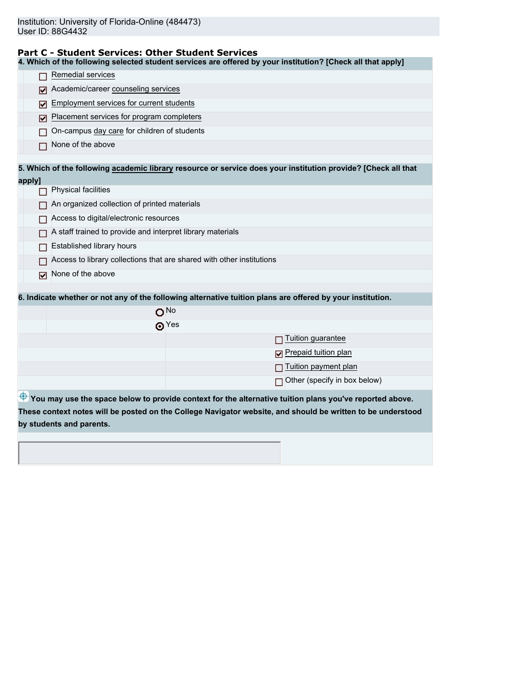### **Part C - Student Services: Other Student Services**

**4. Which of the following selected student services are offered by your institution? [Check all that apply]**

|        | Remedial services                                                                                             |  |  |
|--------|---------------------------------------------------------------------------------------------------------------|--|--|
| М      | Academic/career counseling services                                                                           |  |  |
| м      | Employment services for current students                                                                      |  |  |
| M      | Placement services for program completers                                                                     |  |  |
|        | On-campus day care for children of students                                                                   |  |  |
|        | None of the above                                                                                             |  |  |
|        |                                                                                                               |  |  |
|        | 5. Which of the following academic library resource or service does your institution provide? [Check all that |  |  |
| apply] | <b>Physical facilities</b>                                                                                    |  |  |
|        | An organized collection of printed materials                                                                  |  |  |
|        | Access to digital/electronic resources                                                                        |  |  |
|        | A staff trained to provide and interpret library materials                                                    |  |  |
|        | Established library hours                                                                                     |  |  |
|        | Access to library collections that are shared with other institutions                                         |  |  |
| ☑      | None of the above                                                                                             |  |  |
|        |                                                                                                               |  |  |
|        | 6. Indicate whether or not any of the following alternative tuition plans are offered by your institution.    |  |  |
|        | ONO                                                                                                           |  |  |
|        | $\odot$ Yes                                                                                                   |  |  |
|        | Tuition guarantee                                                                                             |  |  |
|        | Prepaid tuition plan<br>⊡                                                                                     |  |  |
|        | Tuition payment plan                                                                                          |  |  |
|        | Other (specify in box below)                                                                                  |  |  |
|        | You may use the space below to provide context for the alternative tuition plans you've reported above.       |  |  |
|        | These context notes will be posted on the College Navigator website, and should be written to be understood   |  |  |
|        | by students and parents.                                                                                      |  |  |
|        |                                                                                                               |  |  |
|        |                                                                                                               |  |  |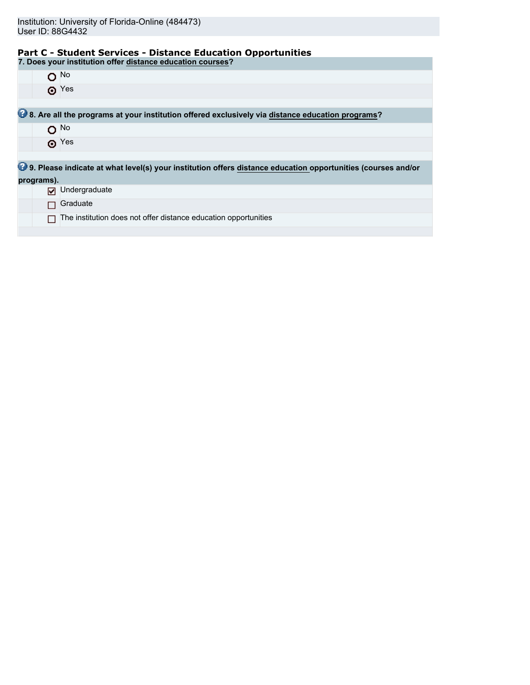# **Part C - Student Services - Distance Education Opportunities**

| 7. Does your institution offer distance education courses?                                                             |
|------------------------------------------------------------------------------------------------------------------------|
| $O$ No                                                                                                                 |
| $\odot$ Yes                                                                                                            |
|                                                                                                                        |
| 8. Are all the programs at your institution offered exclusively via distance education programs?                       |
| $O$ <sup>No</sup>                                                                                                      |
| $\odot$ Yes                                                                                                            |
|                                                                                                                        |
| <b>19</b> 9. Please indicate at what level(s) your institution offers distance education opportunities (courses and/or |
| programs).                                                                                                             |
| Undergraduate<br>⊓                                                                                                     |
| Graduate                                                                                                               |
| The institution does not offer distance education opportunities                                                        |
|                                                                                                                        |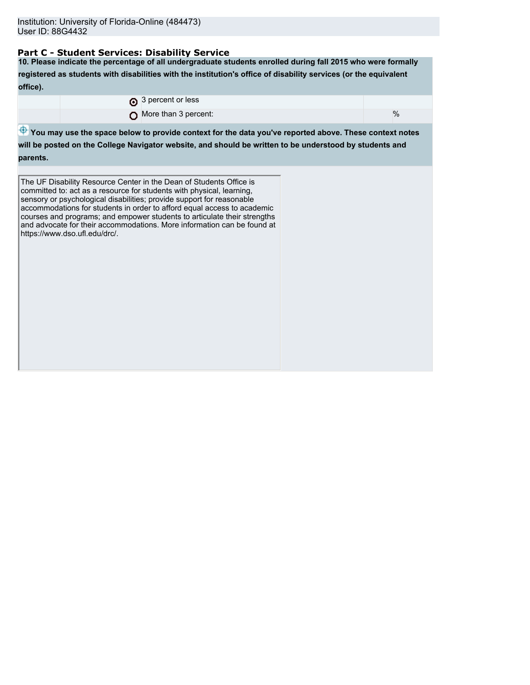## **Part C - Student Services: Disability Service**

**10. Please indicate the percentage of all undergraduate students enrolled during fall 2015 who were formally registered as students with disabilities with the institution's office of disability services (or the equivalent office).**

| 3 percent or less             |      |
|-------------------------------|------|
| $\Omega$ More than 3 percent: | $\%$ |
|                               |      |

 $\bigoplus$  **You may use the space below to provide context for the data you've reported above. These context notes** 

**will be posted on the College Navigator website, and should be written to be understood by students and parents.**

The UF Disability Resource Center in the Dean of Students Office is committed to: act as a resource for students with physical, learning, sensory or psychological disabilities; provide support for reasonable accommodations for students in order to afford equal access to academic courses and programs; and empower students to articulate their strengths and advocate for their accommodations. More information can be found at https://www.dso.ufl.edu/drc/.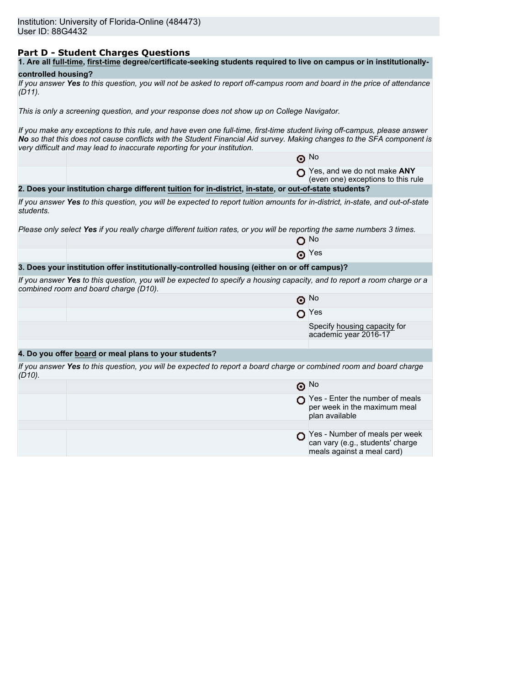## **Part D - Student Charges Questions**

| 1. Are all full-time, first-time degree/certificate-seeking students required to live on campus or in institutionally- |
|------------------------------------------------------------------------------------------------------------------------|
|------------------------------------------------------------------------------------------------------------------------|

## **controlled housing?**

|           | If you answer Yes to this question, you will not be asked to report off-campus room and board in the price of attendance |  |  |
|-----------|--------------------------------------------------------------------------------------------------------------------------|--|--|
| $(D11)$ . |                                                                                                                          |  |  |

*This is only a screening question, and your response does not show up on College Navigator.*

*If you make any exceptions to this rule, and have even one full-time, first-time student living off-campus, please answer No so that this does not cause conflicts with the Student Financial Aid survey. Making changes to the SFA component is very difficult and may lead to inaccurate reporting for your institution.*

|           |                                                                                                                                                                   | $\odot$ No                                                                                       |
|-----------|-------------------------------------------------------------------------------------------------------------------------------------------------------------------|--------------------------------------------------------------------------------------------------|
|           |                                                                                                                                                                   | Yes, and we do not make ANY<br>(even one) exceptions to this rule                                |
|           | 2. Does your institution charge different tuition for in-district, in-state, or out-of-state students?                                                            |                                                                                                  |
| students. | If you answer Yes to this question, you will be expected to report tuition amounts for in-district, in-state, and out-of-state                                    |                                                                                                  |
|           | Please only select Yes if you really charge different tuition rates, or you will be reporting the same numbers 3 times.                                           |                                                                                                  |
|           |                                                                                                                                                                   | ∩ No                                                                                             |
|           | Θ                                                                                                                                                                 | Yes                                                                                              |
|           | 3. Does your institution offer institutionally-controlled housing (either on or off campus)?                                                                      |                                                                                                  |
|           | If you answer Yes to this question, you will be expected to specify a housing capacity, and to report a room charge or a<br>combined room and board charge (D10). |                                                                                                  |
|           |                                                                                                                                                                   | $\odot$ No                                                                                       |
|           |                                                                                                                                                                   | $\Omega$ Yes                                                                                     |
|           |                                                                                                                                                                   | Specify housing capacity for<br>academic year 2016-17                                            |
|           |                                                                                                                                                                   |                                                                                                  |
|           | 4. Do you offer board or meal plans to your students?                                                                                                             |                                                                                                  |
| $(D10)$ . | If you answer Yes to this question, you will be expected to report a board charge or combined room and board charge                                               |                                                                                                  |
|           |                                                                                                                                                                   | $\odot$ No                                                                                       |
|           |                                                                                                                                                                   | Yes - Enter the number of meals<br>per week in the maximum meal<br>plan available                |
|           |                                                                                                                                                                   |                                                                                                  |
|           |                                                                                                                                                                   | Yes - Number of meals per week<br>can vary (e.g., students' charge<br>meals against a meal card) |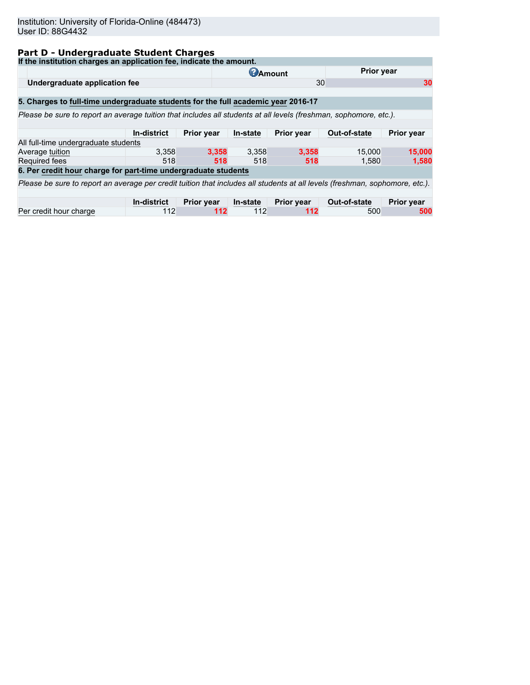# **Part D - Undergraduate Student Charges**

| If the institution charges an application fee, indicate the amount.                                                          |                    |                   |          |                   |              |                   |
|------------------------------------------------------------------------------------------------------------------------------|--------------------|-------------------|----------|-------------------|--------------|-------------------|
|                                                                                                                              |                    | <b>C</b> Amount   |          | <b>Prior year</b> |              |                   |
| Undergraduate application fee                                                                                                |                    |                   |          | 30                |              | 30                |
|                                                                                                                              |                    |                   |          |                   |              |                   |
| 5. Charges to full-time undergraduate students for the full academic year 2016-17                                            |                    |                   |          |                   |              |                   |
| Please be sure to report an average tuition that includes all students at all levels (freshman, sophomore, etc.).            |                    |                   |          |                   |              |                   |
|                                                                                                                              |                    |                   |          |                   |              |                   |
|                                                                                                                              | In-district        | <b>Prior year</b> | In-state | Prior year        | Out-of-state | <b>Prior year</b> |
| All full-time undergraduate students                                                                                         |                    |                   |          |                   |              |                   |
| Average tuition                                                                                                              | 3.358              | 3.358             | 3,358    | 3.358             | 15,000       | 15,000            |
| <b>Required fees</b>                                                                                                         | 518                | 518               | 518      | 518               | 1.580        | 1,580             |
| 6. Per credit hour charge for part-time undergraduate students                                                               |                    |                   |          |                   |              |                   |
| Please be sure to report an average per credit tuition that includes all students at all levels (freshman, sophomore, etc.). |                    |                   |          |                   |              |                   |
|                                                                                                                              |                    |                   |          |                   |              |                   |
|                                                                                                                              | <b>In-district</b> | <b>Prior year</b> | In-state | <b>Prior year</b> | Out-of-state | <b>Prior year</b> |
| Per credit hour charge                                                                                                       | 112                | 112               | 112      | 112               | 500          | 500               |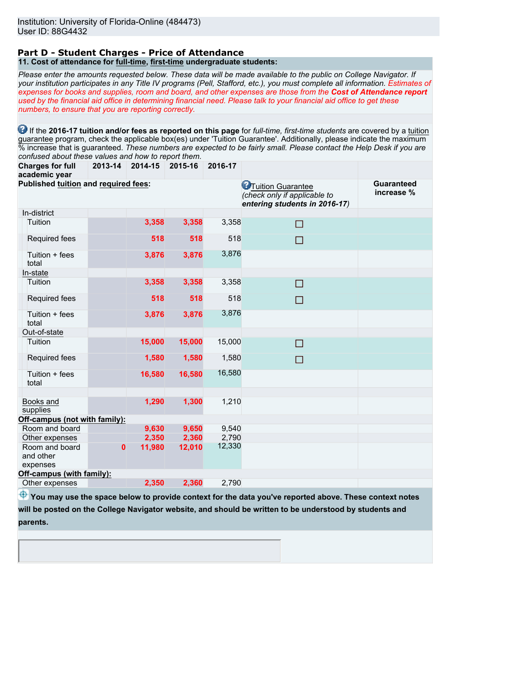#### **Part D - Student Charges - Price of Attendance 11. Cost of attendance for full-time, first-time undergraduate students:**

*Please enter the amounts requested below. These data will be made available to the public on College Navigator. If your institution participates in any Title IV programs (Pell, Stafford, etc.), you must complete all information. Estimates of expenses for books and supplies, room and board, and other expenses are those from the Cost of Attendance report used by the financial aid office in determining financial need. Please talk to your financial aid office to get these numbers, to ensure that you are reporting correctly.*

**1** If the 2016-17 tuition and/or fees as reported on this page for *full-time, first-time students* are covered by a tuition guarantee program, check the applicable box(es) under 'Tuition Guarantee'. Additionally, please indicate the maximum % increase that is guaranteed. *These numbers are expected to be fairly small. Please contact the Help Desk if you are confused about these values and how to report them.*

**Charges for full academic year 2013-14 2014-15 2015-16 2016-17**

| academic year                           |              |        |        |        |                                                                                             |                                 |
|-----------------------------------------|--------------|--------|--------|--------|---------------------------------------------------------------------------------------------|---------------------------------|
| Published tuition and required fees:    |              |        |        |        | <b>C</b> Tuition Guarantee<br>(check only if applicable to<br>entering students in 2016-17) | <b>Guaranteed</b><br>increase % |
| In-district                             |              |        |        |        |                                                                                             |                                 |
| Tuition                                 |              | 3,358  | 3,358  | 3,358  | П                                                                                           |                                 |
| Required fees                           |              | 518    | 518    | 518    | $\Box$                                                                                      |                                 |
| Tuition + fees<br>total                 |              | 3,876  | 3,876  | 3,876  |                                                                                             |                                 |
| In-state                                |              |        |        |        |                                                                                             |                                 |
| Tuition                                 |              | 3,358  | 3,358  | 3,358  | □                                                                                           |                                 |
| Required fees                           |              | 518    | 518    | 518    | П                                                                                           |                                 |
| Tuition + fees<br>total                 |              | 3,876  | 3,876  | 3,876  |                                                                                             |                                 |
| Out-of-state                            |              |        |        |        |                                                                                             |                                 |
| Tuition                                 |              | 15,000 | 15,000 | 15,000 | П                                                                                           |                                 |
| Required fees                           |              | 1,580  | 1,580  | 1,580  | П                                                                                           |                                 |
| Tuition + fees<br>total                 |              | 16,580 | 16,580 | 16,580 |                                                                                             |                                 |
|                                         |              |        |        |        |                                                                                             |                                 |
| Books and<br>supplies                   |              | 1,290  | 1,300  | 1,210  |                                                                                             |                                 |
| Off-campus (not with family):           |              |        |        |        |                                                                                             |                                 |
| Room and board                          |              | 9,630  | 9,650  | 9,540  |                                                                                             |                                 |
| Other expenses                          |              | 2,350  | 2,360  | 2,790  |                                                                                             |                                 |
| Room and board<br>and other<br>expenses | $\mathbf{0}$ | 11,980 | 12,010 | 12,330 |                                                                                             |                                 |
| Off-campus (with family):               |              |        |        |        |                                                                                             |                                 |
| Other expenses                          |              | 2,350  | 2,360  | 2,790  |                                                                                             |                                 |
|                                         |              |        |        |        |                                                                                             |                                 |

 $\bigoplus$  **You may use the space below to provide context for the data you've reported above. These context notes will be posted on the College Navigator website, and should be written to be understood by students and**

**parents.**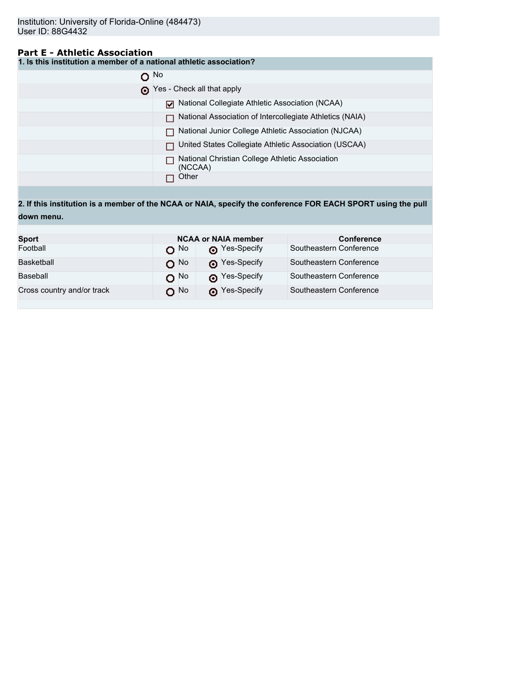## **Part E - Athletic Association**

**1. Is this institution a member of a national athletic association?**

| $\Omega$ No |                                                            |
|-------------|------------------------------------------------------------|
|             | Yes - Check all that apply                                 |
|             | National Collegiate Athletic Association (NCAA)            |
|             | National Association of Intercollegiate Athletics (NAIA)   |
|             | National Junior College Athletic Association (NJCAA)       |
|             | United States Collegiate Athletic Association (USCAA)      |
|             | National Christian College Athletic Association<br>(NCCAA) |
|             | Other                                                      |

**2. If this institution is a member of the NCAA or NAIA, specify the conference FOR EACH SPORT using the pull down menu.**

| <b>Sport</b>               |                   | <b>NCAA or NAIA member</b> | <b>Conference</b>       |  |  |
|----------------------------|-------------------|----------------------------|-------------------------|--|--|
| Football                   | റ <sup>No</sup>   | Pes-Specify                | Southeastern Conference |  |  |
| Basketball                 | $O$ <sup>No</sup> | Pes-Specify                | Southeastern Conference |  |  |
| Baseball                   | $O$ No            | Nes-Specify                | Southeastern Conference |  |  |
| Cross country and/or track | O No              | Pes-Specify                | Southeastern Conference |  |  |
|                            |                   |                            |                         |  |  |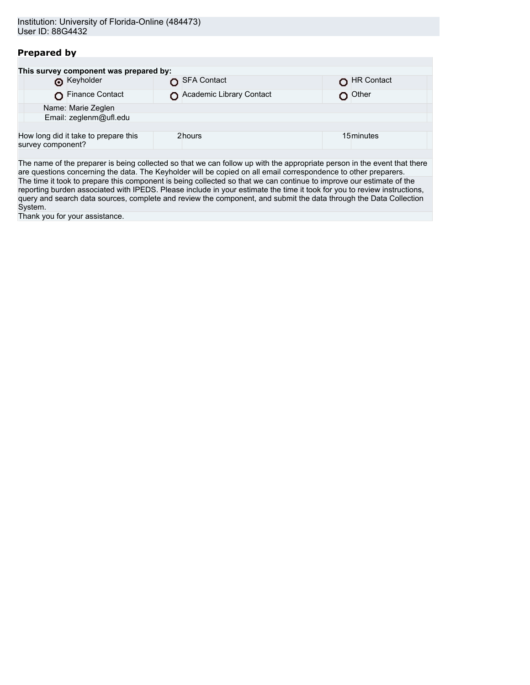## **Prepared by**

|                   | This survey component was prepared by: |                          |            |
|-------------------|----------------------------------------|--------------------------|------------|
|                   | <b>O</b> Keyholder                     | SFA Contact              | HR Contact |
|                   | Finance Contact                        | Academic Library Contact | Other      |
|                   | Name: Marie Zeglen                     |                          |            |
|                   | Email: zeglenm@ufl.edu                 |                          |            |
|                   |                                        |                          |            |
| survey component? | How long did it take to prepare this   | 2hours                   | 15 minutes |
|                   |                                        |                          |            |

The name of the preparer is being collected so that we can follow up with the appropriate person in the event that there are questions concerning the data. The Keyholder will be copied on all email correspondence to other preparers. The time it took to prepare this component is being collected so that we can continue to improve our estimate of the reporting burden associated with IPEDS. Please include in your estimate the time it took for you to review instructions, query and search data sources, complete and review the component, and submit the data through the Data Collection System.

Thank you for your assistance.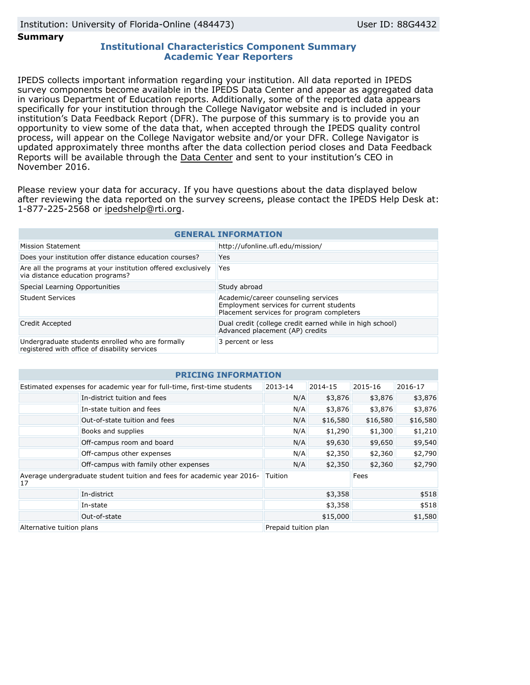**Summary**

## **Institutional Characteristics Component Summary Academic Year Reporters**

IPEDS collects important information regarding your institution. All data reported in IPEDS survey components become available in the IPEDS Data Center and appear as aggregated data in various Department of Education reports. Additionally, some of the reported data appears specifically for your institution through the College Navigator website and is included in your institution's Data Feedback Report (DFR). The purpose of this summary is to provide you an opportunity to view some of the data that, when accepted through the IPEDS quality control process, will appear on the College Navigator website and/or your DFR. College Navigator is updated approximately three months after the data collection period closes and Data Feedback Reports will be available through the [Data Center](http://nces.ed.gov/ipeds/datacenter/) and sent to your institution's CEO in November 2016.

Please review your data for accuracy. If you have questions about the data displayed below after reviewing the data reported on the survey screens, please contact the IPEDS Help Desk at: 1-877-225-2568 or ipedshelp@rti.org.

| <b>GENERAL INFORMATION</b>                                                                        |                                                                                                                              |  |  |  |  |
|---------------------------------------------------------------------------------------------------|------------------------------------------------------------------------------------------------------------------------------|--|--|--|--|
| Mission Statement                                                                                 | http://ufonline.ufl.edu/mission/                                                                                             |  |  |  |  |
| Does your institution offer distance education courses?                                           | Yes                                                                                                                          |  |  |  |  |
| Are all the programs at your institution offered exclusively<br>via distance education programs?  | <b>Yes</b>                                                                                                                   |  |  |  |  |
| Special Learning Opportunities                                                                    | Study abroad                                                                                                                 |  |  |  |  |
| Student Services                                                                                  | Academic/career counseling services<br>Employment services for current students<br>Placement services for program completers |  |  |  |  |
| Credit Accepted                                                                                   | Dual credit (college credit earned while in high school)<br>Advanced placement (AP) credits                                  |  |  |  |  |
| Undergraduate students enrolled who are formally<br>registered with office of disability services | 3 percent or less                                                                                                            |  |  |  |  |

| <b>PRICING INFORMATION</b>                                                   |                                       |                      |          |          |          |  |  |
|------------------------------------------------------------------------------|---------------------------------------|----------------------|----------|----------|----------|--|--|
| Estimated expenses for academic year for full-time, first-time students      |                                       | 2013-14              | 2014-15  | 2015-16  | 2016-17  |  |  |
|                                                                              | In-district tuition and fees          | N/A                  | \$3,876  | \$3,876  | \$3,876  |  |  |
|                                                                              | In-state tuition and fees             | N/A                  | \$3,876  | \$3,876  | \$3,876  |  |  |
|                                                                              | Out-of-state tuition and fees         | N/A                  | \$16,580 | \$16,580 | \$16,580 |  |  |
|                                                                              | Books and supplies                    | N/A                  | \$1,290  | \$1,300  | \$1,210  |  |  |
|                                                                              | Off-campus room and board             | N/A                  | \$9,630  | \$9,650  | \$9,540  |  |  |
|                                                                              | Off-campus other expenses             | N/A                  | \$2,350  | \$2,360  | \$2,790  |  |  |
|                                                                              | Off-campus with family other expenses | N/A                  | \$2,350  | \$2,360  | \$2,790  |  |  |
| Average undergraduate student tuition and fees for academic year 2016-<br>17 |                                       | Tuition              |          | Fees     |          |  |  |
|                                                                              | In-district                           | \$3,358              |          | \$518    |          |  |  |
|                                                                              | In-state                              | \$3,358              |          | \$518    |          |  |  |
| Out-of-state                                                                 |                                       |                      | \$15,000 |          | \$1,580  |  |  |
| Alternative tuition plans                                                    |                                       | Prepaid tuition plan |          |          |          |  |  |